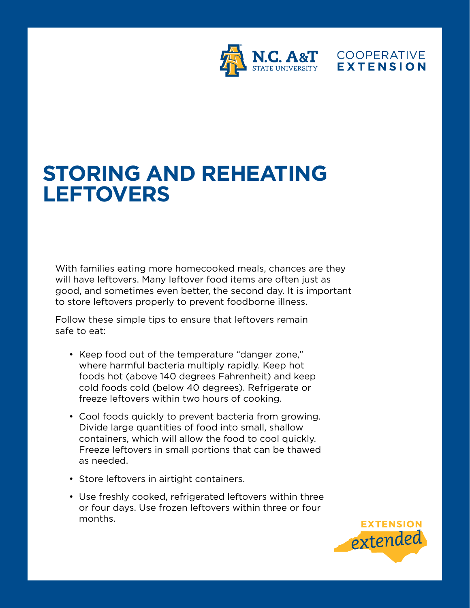

## **STORING AND REHEATING LEFTOVERS**

With families eating more homecooked meals, chances are they will have leftovers. Many leftover food items are often just as good, and sometimes even better, the second day. It is important to store leftovers properly to prevent foodborne illness.

Follow these simple tips to ensure that leftovers remain safe to eat:

- Keep food out of the temperature "danger zone," where harmful bacteria multiply rapidly. Keep hot foods hot (above 140 degrees Fahrenheit) and keep cold foods cold (below 40 degrees). Refrigerate or freeze leftovers within two hours of cooking.
- Cool foods quickly to prevent bacteria from growing. Divide large quantities of food into small, shallow containers, which will allow the food to cool quickly. Freeze leftovers in small portions that can be thawed as needed.
- Store leftovers in airtight containers.
- Use freshly cooked, refrigerated leftovers within three or four days. Use frozen leftovers within three or four months.